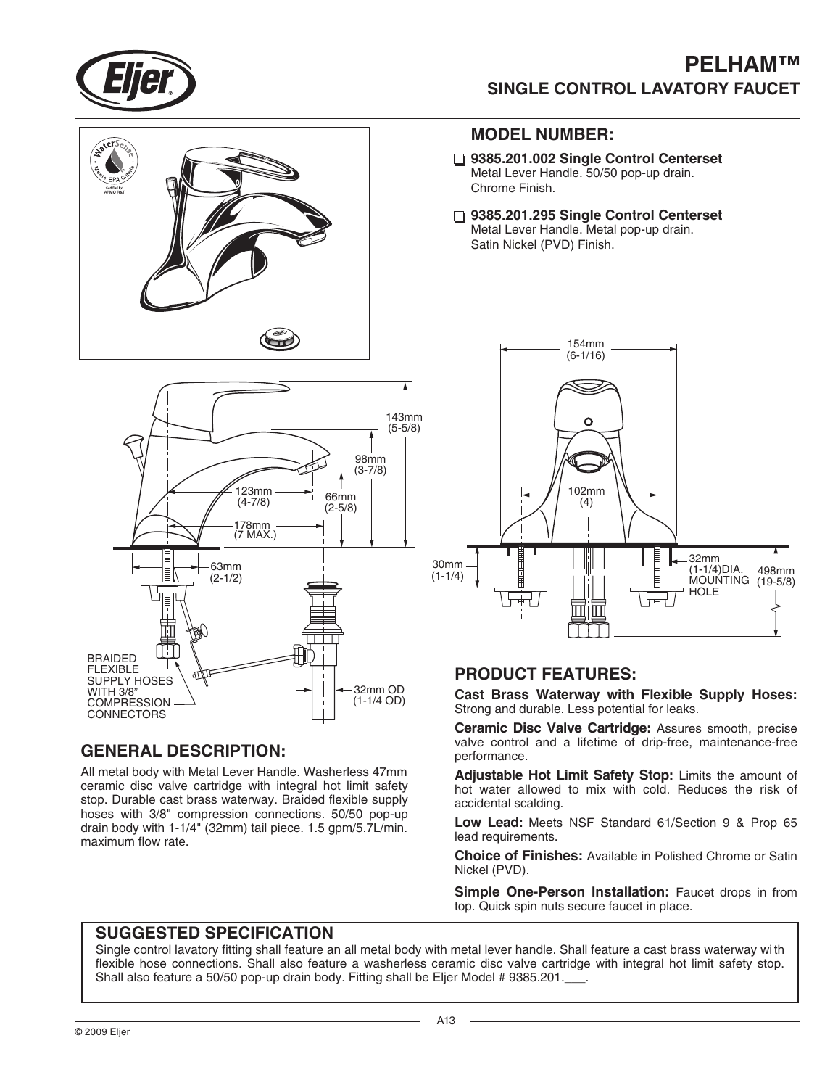

## **PELHAM™ SINGLE CONTROL LAVATORY FAUCET**





### **GENERAL DESCRIPTION:**

All metal body with Metal Lever Handle. Washerless 47mm ceramic disc valve cartridge with integral hot limit safety stop. Durable cast brass waterway. Braided flexible supply hoses with 3/8" compression connections. 50/50 pop-up drain body with 1-1/4" (32mm) tail piece. 1.5 gpm/5.7L/min. maximum flow rate.

#### **MODEL NUMBER:**

- **9385.201.002 Single Control Centerset** Metal Lever Handle. 50/50 pop-up drain. Chrome Finish.
- **9385.201.295 Single Control Centerset** Metal Lever Handle. Metal pop-up drain. Satin Nickel (PVD) Finish.



#### **PRODUCT FEATURES:**

**Cast Brass Waterway with Flexible Supply Hoses:** Strong and durable. Less potential for leaks.

**Ceramic Disc Valve Cartridge:** Assures smooth, precise valve control and a lifetime of drip-free, maintenance-free performance.

**Adjustable Hot Limit Safety Stop:** Limits the amount of hot water allowed to mix with cold. Reduces the risk of accidental scalding.

**Low Lead:** Meets NSF Standard 61/Section 9 & Prop 65 lead requirements.

**Choice of Finishes:** Available in Polished Chrome or Satin Nickel (PVD).

**Simple One-Person Installation:** Faucet drops in from top. Quick spin nuts secure faucet in place.

#### **SUGGESTED SPECIFICATION**

Single control lavatory fitting shall feature an all metal body with metal lever handle. Shall feature a cast brass waterway wi th flexible hose connections. Shall also feature a washerless ceramic disc valve cartridge with integral hot limit safety stop. Shall also feature a 50/50 pop-up drain body. Fitting shall be Eljer Model # 9385.201.